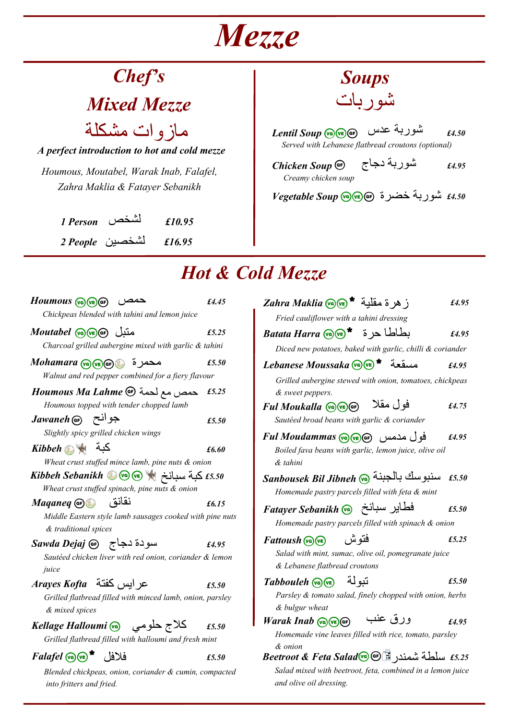# *Mezze*

# *Chef's*

*Mixed Mezze*

*A perfect introduction to hot and cold mezze* مازوات مشكلة

*Houmous, Moutabel, Warak Inab, Falafel, Zahra Maklia & Fatayer Sebanikh*

> *1 Person £10.95* لشخص *2 People £16.95* لشخصين



*Served with Lebanese flatbread croutons (optional) £4.50* شوربة عدس *Soup Lentil*

*Chicken Soup Creamy chicken soup £4.95* شوربة دجاج

*£4.50* شوربة خضرة *Soup Vegetable*

## *Hot & Cold Mezze*

| $Houmous$ (va) (ve) $(F)$<br>حمص                                                   | £4.45 |
|------------------------------------------------------------------------------------|-------|
| Chickpeas blended with tahini and lemon juice                                      |       |
| متنل Moutabel @we) مقد                                                             | £5.25 |
| Charcoal grilled aubergine mixed with garlic & tahini                              |       |
| محمرة پيه(Mohamara عصمر<br>Walnut and red pepper combined for a fiery flavour      | £5.50 |
|                                                                                    | £5.25 |
| Houmous Ma Lahme <a><br/>Houmous topped with tender chopped lamb</a>               |       |
| Jawaneh (GF) جوانح<br>Slightly spicy grilled chicken wings                         | £5.50 |
| كبة پڑھ <i>Kibbeh</i>                                                              | £6.60 |
| Wheat crust stuffed mince lamb, pine nuts & onion                                  |       |
|                                                                                    |       |
| Wheat crust stuffed spinach, pine nuts & onion                                     |       |
| نقانق<br>Maqaneq GO                                                                | £6.15 |
| Middle Eastern style lamb sausages cooked with pine nuts<br>& traditional spices   |       |
| سودة دجاج   Gejaj Ge                                                               | £4.95 |
| Sautéed chicken liver with red onion, coriander & lemon<br>juice                   |       |
| عر ابس كفتة Arayes Kofta                                                           | £5.50 |
| Grilled flatbread filled with minced lamb, onion, parsley<br>& mixed spices        |       |
| كلاج حلومي       Kellage Halloumi @                                                | £5.50 |
| Grilled flatbread filled with halloumi and fresh mint                              |       |
| فلافل * Falafel @@                                                                 | £5.50 |
| Blended chickpeas, onion, coriander & cumin, compacted<br>into fritters and fried. |       |

| ز هر ة مقلبة * Zahra Maklia @                                                                            | £4.95 |
|----------------------------------------------------------------------------------------------------------|-------|
| Fried cauliflower with a tahini dressing                                                                 |       |
| بطاطا حرة * ه Batata Harra (ح م )                                                                        | £4.95 |
| Diced new potatoes, baked with garlic, chilli & coriander                                                |       |
| Lebanese Moussaka (C) (C) * مسقعة                                                                        | £4.95 |
| Grilled aubergine stewed with onion, tomatoes, chickpeas<br>& sweet peppers.                             |       |
| فو ل مقلا<br>Ful Moukalla (G) VE GF)                                                                     | £4.75 |
| Sautéed broad beans with garlic & coriander                                                              |       |
| فول مدمس Ful Moudammas (va) (ve) ar<br>Boiled fava beans with garlic, lemon juice, olive oil<br>& tahini | £4.95 |
| سنبوسك بالجبنة @Sanbousek Bil Jibneh                                                                     | £5.50 |
| Homemade pastry parcels filled with feta & mint                                                          |       |
| فطاير سبانخ Fatayer Sebanikh<br>Homemade pastry parcels filled with spinach & onion                      | £5.50 |
|                                                                                                          |       |
| فتو ش<br>$Fattoush$ (ve)                                                                                 | £5.25 |
| Salad with mint, sumac, olive oil, pomegranate juice<br>& Lebanese flatbread croutons                    |       |
| تىو لة<br>$Tabbouleh$ ( $\sqrt{m}$ )                                                                     | £5.50 |
| Parsley & tomato salad, finely chopped with onion, herbs                                                 |       |
| & bulgur wheat                                                                                           |       |
| ورق عنب<br>$\textit{Warak}$ Inab $\text{Va}(\text{ve})$ $\text{GF}$                                      | £4.95 |
| Homemade vine leaves filled with rice, tomato, parsley                                                   |       |
| & onion                                                                                                  |       |
| 5.25 سلطة شمندر Beetroot & Feta Salad 6 (1)                                                              |       |
| Salad mixed with beetroot, feta, combined in a lemon juice<br>and olive oil dressing.                    |       |
|                                                                                                          |       |